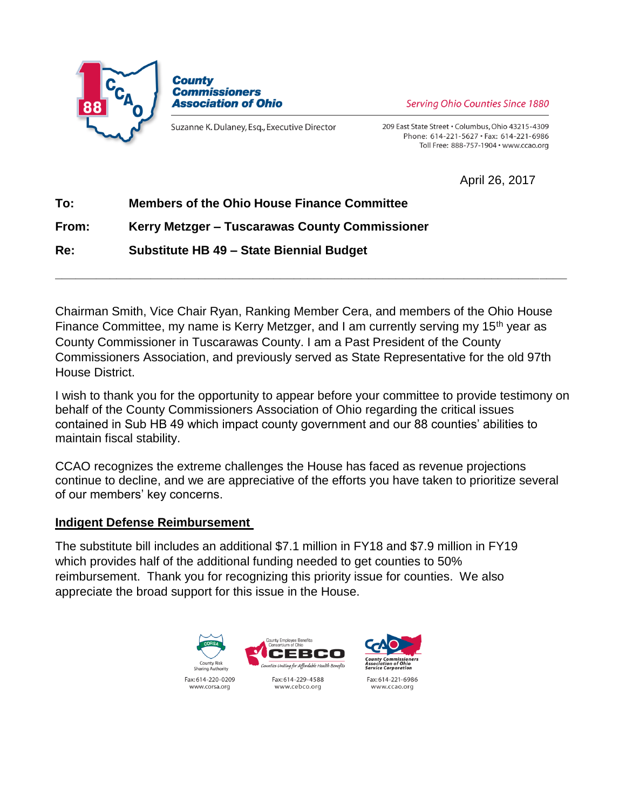



Suzanne K. Dulaney, Esq., Executive Director

**Serving Ohio Counties Since 1880** 

209 East State Street . Columbus, Ohio 43215-4309 Phone: 614-221-5627 · Fax: 614-221-6986 Toll Free: 888-757-1904 · www.ccao.org

April 26, 2017

# **To: Members of the Ohio House Finance Committee**

### **From: Kerry Metzger – Tuscarawas County Commissioner**

**Re: Substitute HB 49 – State Biennial Budget**

Chairman Smith, Vice Chair Ryan, Ranking Member Cera, and members of the Ohio House Finance Committee, my name is Kerry Metzger, and I am currently serving my 15<sup>th</sup> year as County Commissioner in Tuscarawas County. I am a Past President of the County Commissioners Association, and previously served as State Representative for the old 97th House District.

**\_\_\_\_\_\_\_\_\_\_\_\_\_\_\_\_\_\_\_\_\_\_\_\_\_\_\_\_\_\_\_\_\_\_\_\_\_\_\_\_\_\_\_\_\_\_\_\_\_\_\_\_\_\_\_\_\_\_\_\_\_\_\_\_\_\_\_\_\_\_\_\_\_\_\_**

I wish to thank you for the opportunity to appear before your committee to provide testimony on behalf of the County Commissioners Association of Ohio regarding the critical issues contained in Sub HB 49 which impact county government and our 88 counties' abilities to maintain fiscal stability.

CCAO recognizes the extreme challenges the House has faced as revenue projections continue to decline, and we are appreciative of the efforts you have taken to prioritize several of our members' key concerns.

### **Indigent Defense Reimbursement**

The substitute bill includes an additional \$7.1 million in FY18 and \$7.9 million in FY19 which provides half of the additional funding needed to get counties to 50% reimbursement. Thank you for recognizing this priority issue for counties. We also appreciate the broad support for this issue in the House.

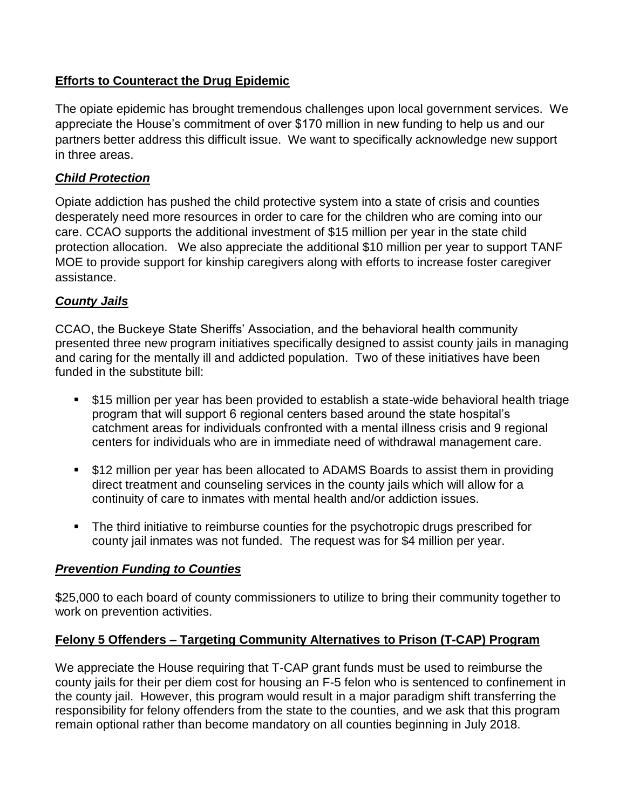# **Efforts to Counteract the Drug Epidemic**

The opiate epidemic has brought tremendous challenges upon local government services. We appreciate the House's commitment of over \$170 million in new funding to help us and our partners better address this difficult issue. We want to specifically acknowledge new support in three areas.

# *Child Protection*

Opiate addiction has pushed the child protective system into a state of crisis and counties desperately need more resources in order to care for the children who are coming into our care. CCAO supports the additional investment of \$15 million per year in the state child protection allocation. We also appreciate the additional \$10 million per year to support TANF MOE to provide support for kinship caregivers along with efforts to increase foster caregiver assistance.

# *County Jails*

CCAO, the Buckeye State Sheriffs' Association, and the behavioral health community presented three new program initiatives specifically designed to assist county jails in managing and caring for the mentally ill and addicted population. Two of these initiatives have been funded in the substitute bill:

- \$15 million per year has been provided to establish a state-wide behavioral health triage program that will support 6 regional centers based around the state hospital's catchment areas for individuals confronted with a mental illness crisis and 9 regional centers for individuals who are in immediate need of withdrawal management care.
- \$12 million per year has been allocated to ADAMS Boards to assist them in providing direct treatment and counseling services in the county jails which will allow for a continuity of care to inmates with mental health and/or addiction issues.
- The third initiative to reimburse counties for the psychotropic drugs prescribed for county jail inmates was not funded. The request was for \$4 million per year.

### *Prevention Funding to Counties*

\$25,000 to each board of county commissioners to utilize to bring their community together to work on prevention activities.

# **Felony 5 Offenders – Targeting Community Alternatives to Prison (T-CAP) Program**

We appreciate the House requiring that T-CAP grant funds must be used to reimburse the county jails for their per diem cost for housing an F-5 felon who is sentenced to confinement in the county jail. However, this program would result in a major paradigm shift transferring the responsibility for felony offenders from the state to the counties, and we ask that this program remain optional rather than become mandatory on all counties beginning in July 2018.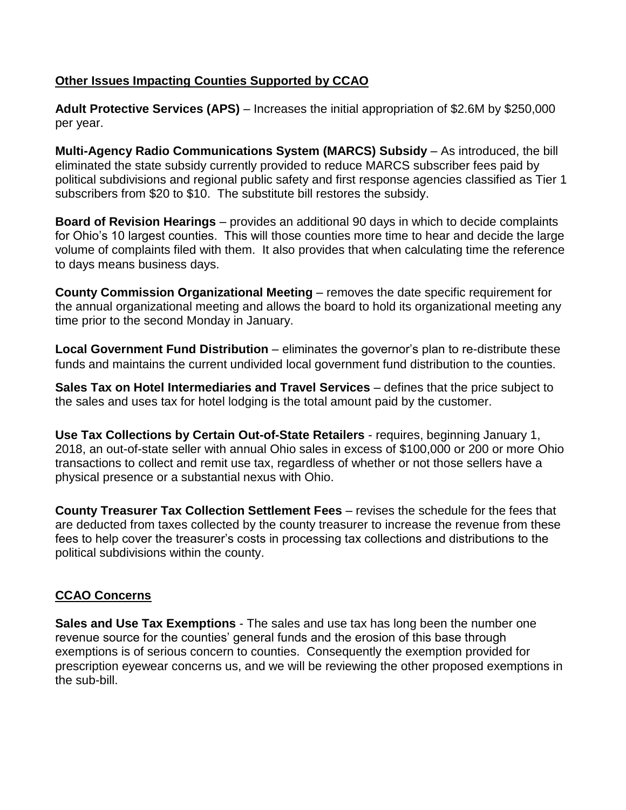#### **Other Issues Impacting Counties Supported by CCAO**

**Adult Protective Services (APS)** – Increases the initial appropriation of \$2.6M by \$250,000 per year.

**Multi-Agency Radio Communications System (MARCS) Subsidy** - As introduced, the bill eliminated the state subsidy currently provided to reduce MARCS subscriber fees paid by political subdivisions and regional public safety and first response agencies classified as Tier 1 subscribers from \$20 to \$10. The substitute bill restores the subsidy.

**Board of Revision Hearings** – provides an additional 90 days in which to decide complaints for Ohio's 10 largest counties. This will those counties more time to hear and decide the large volume of complaints filed with them. It also provides that when calculating time the reference to days means business days.

**County Commission Organizational Meeting** – removes the date specific requirement for the annual organizational meeting and allows the board to hold its organizational meeting any time prior to the second Monday in January.

**Local Government Fund Distribution** – eliminates the governor's plan to re-distribute these funds and maintains the current undivided local government fund distribution to the counties.

**Sales Tax on Hotel Intermediaries and Travel Services** – defines that the price subject to the sales and uses tax for hotel lodging is the total amount paid by the customer.

**Use Tax Collections by Certain Out-of-State Retailers** - requires, beginning January 1, 2018, an out-of-state seller with annual Ohio sales in excess of \$100,000 or 200 or more Ohio transactions to collect and remit use tax, regardless of whether or not those sellers have a physical presence or a substantial nexus with Ohio.

**County Treasurer Tax Collection Settlement Fees** – revises the schedule for the fees that are deducted from taxes collected by the county treasurer to increase the revenue from these fees to help cover the treasurer's costs in processing tax collections and distributions to the political subdivisions within the county.

### **CCAO Concerns**

**Sales and Use Tax Exemptions** - The sales and use tax has long been the number one revenue source for the counties' general funds and the erosion of this base through exemptions is of serious concern to counties. Consequently the exemption provided for prescription eyewear concerns us, and we will be reviewing the other proposed exemptions in the sub-bill.